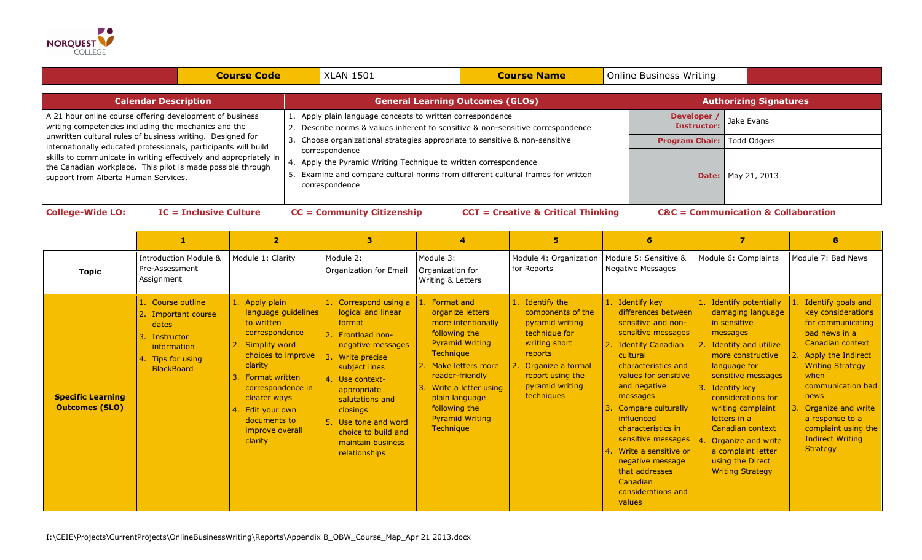

|                                                                                                                                                                                                                                                                                                                                                                                                                                 | <b>Course Code</b> | <b>XLAN 1501</b>                                                                                                                                                                      | <b>Course Name</b>                      |                                   | <b>Online Business Writing</b>    |                           |  |
|---------------------------------------------------------------------------------------------------------------------------------------------------------------------------------------------------------------------------------------------------------------------------------------------------------------------------------------------------------------------------------------------------------------------------------|--------------------|---------------------------------------------------------------------------------------------------------------------------------------------------------------------------------------|-----------------------------------------|-----------------------------------|-----------------------------------|---------------------------|--|
| <b>Calendar Description</b>                                                                                                                                                                                                                                                                                                                                                                                                     |                    |                                                                                                                                                                                       | <b>General Learning Outcomes (GLOs)</b> |                                   | <b>Authorizing Signatures</b>     |                           |  |
| A 21 hour online course offering development of business<br>writing competencies including the mechanics and the<br>unwritten cultural rules of business writing. Designed for<br>internationally educated professionals, participants will build<br>skills to communicate in writing effectively and appropriately in  <br>the Canadian workplace. This pilot is made possible through<br>support from Alberta Human Services. |                    | Apply plain language concepts to written correspondence<br>Describe norms & values inherent to sensitive & non-sensitive correspondence                                               |                                         |                                   | Developer /<br><b>Instructor:</b> | Jake Evans                |  |
|                                                                                                                                                                                                                                                                                                                                                                                                                                 |                    | Choose organizational strategies appropriate to sensitive & non-sensitive<br>3.                                                                                                       |                                         | <b>Program Chair:</b> Todd Odgers |                                   |                           |  |
|                                                                                                                                                                                                                                                                                                                                                                                                                                 |                    | correspondence<br>4. Apply the Pyramid Writing Technique to written correspondence<br>Examine and compare cultural norms from different cultural frames for written<br>correspondence |                                         |                                   |                                   | <b>Date:</b> May 21, 2013 |  |

**College-Wide LO: IC = Inclusive Culture CC = Community Citizenship CCT = Creative & Critical Thinking C&C = Communication & Collaboration**

|                                                   |                                                                                                                             |                                                                                                                                                                                                                                                        | з                                                                                                                                                                                                                                                                                       |                                                                                                                                                                                                                                                                            | 5                                                                                                                                                                                 | 6.                                                                                                                                                                                                                                                                                                                                                                                              | $\overline{\mathbf{z}}$                                                                                                                                                                                                                                                                                                                                        | 8                                                                                                                                                                                                                                                                                                                      |
|---------------------------------------------------|-----------------------------------------------------------------------------------------------------------------------------|--------------------------------------------------------------------------------------------------------------------------------------------------------------------------------------------------------------------------------------------------------|-----------------------------------------------------------------------------------------------------------------------------------------------------------------------------------------------------------------------------------------------------------------------------------------|----------------------------------------------------------------------------------------------------------------------------------------------------------------------------------------------------------------------------------------------------------------------------|-----------------------------------------------------------------------------------------------------------------------------------------------------------------------------------|-------------------------------------------------------------------------------------------------------------------------------------------------------------------------------------------------------------------------------------------------------------------------------------------------------------------------------------------------------------------------------------------------|----------------------------------------------------------------------------------------------------------------------------------------------------------------------------------------------------------------------------------------------------------------------------------------------------------------------------------------------------------------|------------------------------------------------------------------------------------------------------------------------------------------------------------------------------------------------------------------------------------------------------------------------------------------------------------------------|
| <b>Topic</b>                                      | <b>Introduction Module &amp;</b><br>Pre-Assessment<br>Assignment                                                            | Module 1: Clarity                                                                                                                                                                                                                                      | Module 2:<br>Organization for Email                                                                                                                                                                                                                                                     | Module 3:<br>Organization for<br>Writing & Letters                                                                                                                                                                                                                         | Module 4: Organization   Module 5: Sensitive &<br>for Reports                                                                                                                     | Negative Messages                                                                                                                                                                                                                                                                                                                                                                               | Module 6: Complaints                                                                                                                                                                                                                                                                                                                                           | Module 7: Bad News                                                                                                                                                                                                                                                                                                     |
| <b>Specific Learning</b><br><b>Outcomes (SLO)</b> | 1. Course outline<br>2. Important course<br>dates<br>3. Instructor<br>information<br>4. Tips for using<br><b>BlackBoard</b> | 1. Apply plain<br>language guidelines<br>to written<br>correspondence<br>2. Simplify word<br>choices to improve<br>clarity<br>3. Format written<br>correspondence in<br>clearer ways<br>4. Edit your own<br>documents to<br>improve overall<br>clarity | 1. Correspond using a<br>logical and linear<br>format<br>2. Frontload non-<br>negative messages<br>Write precise<br>subject lines<br>4. Use context-<br>appropriate<br>salutations and<br>closings<br>5. Use tone and word<br>choice to build and<br>maintain business<br>relationships | 1. Format and<br>organize letters<br>more intentionally<br>following the<br><b>Pyramid Writing</b><br><b>Technique</b><br>2. Make letters more<br>reader-friendly<br>Write a letter using<br>plain language<br>following the<br><b>Pyramid Writing</b><br><b>Technique</b> | 1. Identify the<br>components of the<br>pyramid writing<br>technique for<br>writing short<br>reports<br>2. Organize a formal<br>report using the<br>pyramid writing<br>techniques | 1. Identify key<br>differences between<br>sensitive and non-<br>sensitive messages<br>2. Identify Canadian<br>cultural<br>characteristics and<br>values for sensitive<br>and negative<br>messages<br>Compare culturally<br>influenced<br>characteristics in<br>sensitive messages<br>14. Write a sensitive or<br>negative message<br>that addresses<br>Canadian<br>considerations and<br>values | 1. Identify potentially<br>damaging language<br>in sensitive<br>messages<br>2. Identify and utilize<br>more constructive<br>language for<br>sensitive messages<br>3. Identify key<br>considerations for<br>writing complaint<br>letters in a<br>Canadian context<br>4. Organize and write<br>a complaint letter<br>using the Direct<br><b>Writing Strategy</b> | 1. Identify goals and<br>key considerations<br>for communicating<br>bad news in a<br>Canadian context<br>2. Apply the Indirect<br><b>Writing Strategy</b><br>when<br>communication bad<br><b>news</b><br>3. Organize and write<br>a response to a<br>complaint using the<br><b>Indirect Writing</b><br><b>Strategy</b> |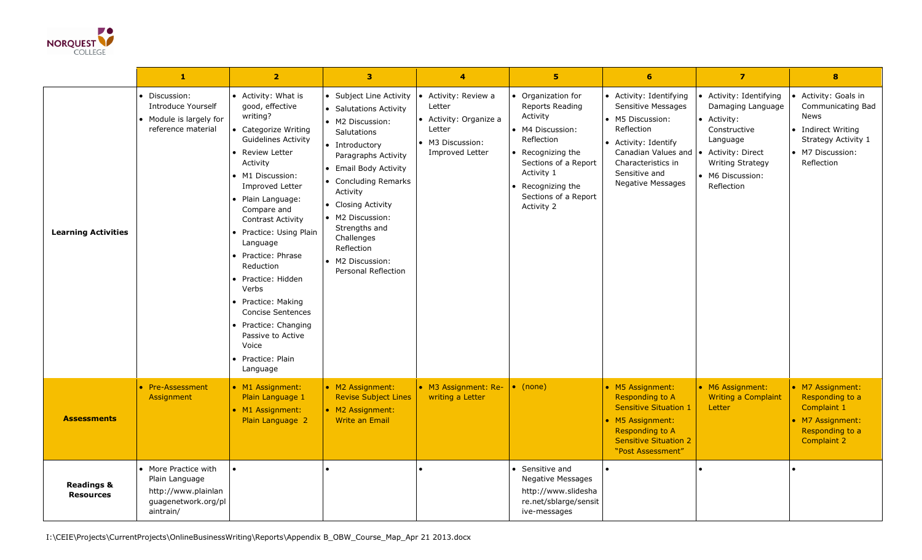

|                                           | $\mathbf{1}$                                                                                      | $\overline{2}$                                                                                                                                                                                                                                                                                                                                                                                                                                                                        | $\overline{\mathbf{3}}$                                                                                                                                                                                                                                                                                                                    | $\overline{\mathbf{4}}$                                                                                   | 5 <sup>5</sup>                                                                                                                                                                                               | 6                                                                                                                                                                                                         | $\overline{7}$                                                                                                                                                         | $\bf{8}$                                                                                                                         |
|-------------------------------------------|---------------------------------------------------------------------------------------------------|---------------------------------------------------------------------------------------------------------------------------------------------------------------------------------------------------------------------------------------------------------------------------------------------------------------------------------------------------------------------------------------------------------------------------------------------------------------------------------------|--------------------------------------------------------------------------------------------------------------------------------------------------------------------------------------------------------------------------------------------------------------------------------------------------------------------------------------------|-----------------------------------------------------------------------------------------------------------|--------------------------------------------------------------------------------------------------------------------------------------------------------------------------------------------------------------|-----------------------------------------------------------------------------------------------------------------------------------------------------------------------------------------------------------|------------------------------------------------------------------------------------------------------------------------------------------------------------------------|----------------------------------------------------------------------------------------------------------------------------------|
| <b>Learning Activities</b>                | Discussion:<br><b>Introduce Yourself</b><br>• Module is largely for<br>reference material         | • Activity: What is<br>good, effective<br>writing?<br>Categorize Writing<br><b>Guidelines Activity</b><br><b>Review Letter</b><br>Activity<br>• M1 Discussion:<br>Improved Letter<br>Plain Language:<br>Compare and<br><b>Contrast Activity</b><br>Practice: Using Plain<br>Language<br>Practice: Phrase<br>Reduction<br>Practice: Hidden<br>Verbs<br>Practice: Making<br><b>Concise Sentences</b><br>Practice: Changing<br>Passive to Active<br>Voice<br>Practice: Plain<br>Language | • Subject Line Activity<br>• Salutations Activity<br>• M2 Discussion:<br><b>Salutations</b><br>• Introductory<br>Paragraphs Activity<br>• Email Body Activity<br>• Concluding Remarks<br>Activity<br>• Closing Activity<br>• M2 Discussion:<br>Strengths and<br>Challenges<br>Reflection<br>• M2 Discussion:<br><b>Personal Reflection</b> | • Activity: Review a<br>Letter<br>• Activity: Organize a<br>Letter<br>• M3 Discussion:<br>Improved Letter | • Organization for<br><b>Reports Reading</b><br>Activity<br>• M4 Discussion:<br>Reflection<br>Recognizing the<br>Sections of a Report<br>Activity 1<br>Recognizing the<br>Sections of a Report<br>Activity 2 | • Activity: Identifying<br>Sensitive Messages<br>• M5 Discussion:<br>Reflection<br>• Activity: Identify<br>Canadian Values and $\cdot$<br>Characteristics in<br>Sensitive and<br><b>Negative Messages</b> | Activity: Identifying<br>Damaging Language<br>• Activity:<br>Constructive<br>Language<br>Activity: Direct<br><b>Writing Strategy</b><br>• M6 Discussion:<br>Reflection | • Activity: Goals in<br>Communicating Bad<br>News<br>• Indirect Writing<br>Strategy Activity 1<br>• M7 Discussion:<br>Reflection |
| <b>Assessments</b>                        | • Pre-Assessment<br>Assignment                                                                    | • M1 Assignment:<br>Plain Language 1<br>• M1 Assignment:<br>Plain Language 2                                                                                                                                                                                                                                                                                                                                                                                                          | • M2 Assignment:<br><b>Revise Subject Lines</b><br>• M2 Assignment:<br><b>Write an Email</b>                                                                                                                                                                                                                                               | • M3 Assignment: Re-<br>writing a Letter                                                                  | $\bullet$ (none)                                                                                                                                                                                             | • M5 Assignment:<br>Responding to A<br><b>Sensitive Situation 1</b><br>• M5 Assignment:<br><b>Responding to A</b><br><b>Sensitive Situation 2</b><br>"Post Assessment"                                    | • M6 Assignment:<br>Writing a Complaint<br>Letter                                                                                                                      | • M7 Assignment:<br>Responding to a<br>Complaint 1<br>• M7 Assignment:<br>Responding to a<br><b>Complaint 2</b>                  |
| <b>Readings &amp;</b><br><b>Resources</b> | • More Practice with<br>Plain Language<br>http://www.plainlan<br>guagenetwork.org/pl<br>aintrain/ | $\bullet$                                                                                                                                                                                                                                                                                                                                                                                                                                                                             |                                                                                                                                                                                                                                                                                                                                            |                                                                                                           | • Sensitive and<br>Negative Messages<br>http://www.slidesha<br>re.net/sblarge/sensit<br>ive-messages                                                                                                         |                                                                                                                                                                                                           |                                                                                                                                                                        |                                                                                                                                  |